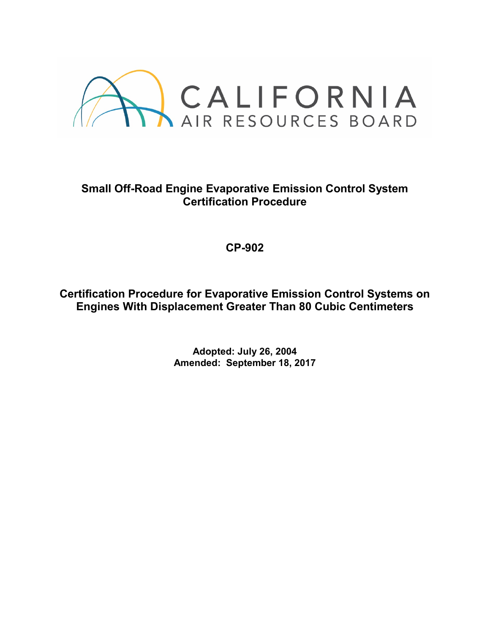

# **Small Off-Road Engine Evaporative Emission Control System Certification Procedure**

**CP-902**

**Certification Procedure for Evaporative Emission Control Systems on Engines With Displacement Greater Than 80 Cubic Centimeters**

> **Adopted: July 26, 2004 Amended: September 18, 2017**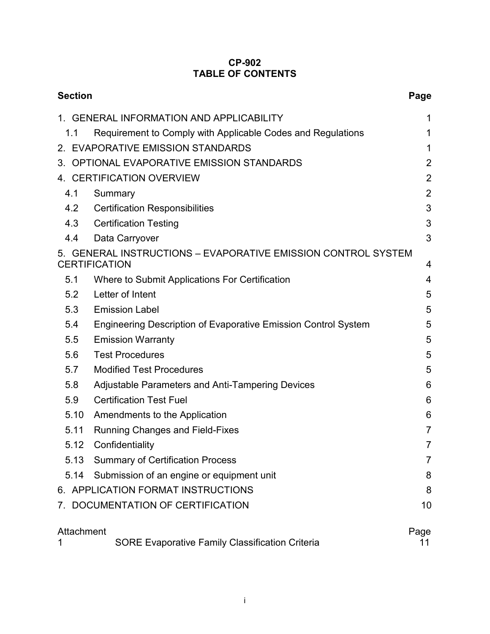## **CP-902 TABLE OF CONTENTS**

| <b>Section</b>                                                                             |                                                                       |                |  |  |
|--------------------------------------------------------------------------------------------|-----------------------------------------------------------------------|----------------|--|--|
|                                                                                            | 1. GENERAL INFORMATION AND APPLICABILITY                              | 1              |  |  |
| 1.1                                                                                        | Requirement to Comply with Applicable Codes and Regulations           | 1              |  |  |
| 2. EVAPORATIVE EMISSION STANDARDS                                                          |                                                                       |                |  |  |
| 3. OPTIONAL EVAPORATIVE EMISSION STANDARDS                                                 |                                                                       |                |  |  |
| 4. CERTIFICATION OVERVIEW                                                                  |                                                                       |                |  |  |
| 4.1                                                                                        | Summary                                                               | $\overline{2}$ |  |  |
| 4.2                                                                                        | <b>Certification Responsibilities</b>                                 | 3              |  |  |
| 4.3                                                                                        | <b>Certification Testing</b>                                          | 3              |  |  |
| 4.4                                                                                        | Data Carryover                                                        | 3              |  |  |
| 5. GENERAL INSTRUCTIONS - EVAPORATIVE EMISSION CONTROL SYSTEM<br><b>CERTIFICATION</b><br>4 |                                                                       |                |  |  |
| 5.1                                                                                        | Where to Submit Applications For Certification                        | 4              |  |  |
| 5.2                                                                                        | Letter of Intent                                                      | 5              |  |  |
| 5.3                                                                                        | <b>Emission Label</b>                                                 | 5              |  |  |
| 5.4                                                                                        | <b>Engineering Description of Evaporative Emission Control System</b> | 5              |  |  |
| 5.5                                                                                        | <b>Emission Warranty</b>                                              | 5              |  |  |
| 5.6                                                                                        | <b>Test Procedures</b>                                                | 5              |  |  |
| 5.7                                                                                        | <b>Modified Test Procedures</b>                                       | 5              |  |  |
| 5.8                                                                                        | Adjustable Parameters and Anti-Tampering Devices                      | 6              |  |  |
| 5.9                                                                                        | <b>Certification Test Fuel</b>                                        | 6              |  |  |
| 5.10                                                                                       | Amendments to the Application                                         | 6              |  |  |
| 5.11                                                                                       | <b>Running Changes and Field-Fixes</b>                                | $\overline{7}$ |  |  |
| 5.12                                                                                       | Confidentiality                                                       | 7              |  |  |
| 5.13                                                                                       | <b>Summary of Certification Process</b>                               | 7              |  |  |
| 5.14                                                                                       | Submission of an engine or equipment unit                             | 8              |  |  |
| 6. APPLICATION FORMAT INSTRUCTIONS                                                         |                                                                       |                |  |  |
|                                                                                            | DOCUMENTATION OF CERTIFICATION                                        | 10             |  |  |
| Attachment<br><b>SORE Evaporative Family Classification Criteria</b><br>1                  |                                                                       |                |  |  |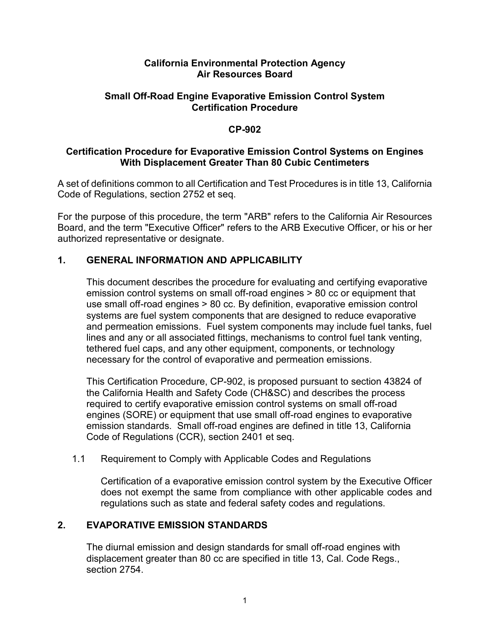#### **California Environmental Protection Agency Air Resources Board**

## **Small Off-Road Engine Evaporative Emission Control System Certification Procedure**

## **CP-902**

## **Certification Procedure for Evaporative Emission Control Systems on Engines With Displacement Greater Than 80 Cubic Centimeters**

A set of definitions common to all Certification and Test Procedures is in title 13, California Code of Regulations, section 2752 et seq.

For the purpose of this procedure, the term "ARB" refers to the California Air Resources Board, and the term "Executive Officer" refers to the ARB Executive Officer, or his or her authorized representative or designate.

# **1. GENERAL INFORMATION AND APPLICABILITY**

This document describes the procedure for evaluating and certifying evaporative emission control systems on small off-road engines > 80 cc or equipment that use small off-road engines > 80 cc. By definition, evaporative emission control systems are fuel system components that are designed to reduce evaporative and permeation emissions. Fuel system components may include fuel tanks, fuel lines and any or all associated fittings, mechanisms to control fuel tank venting, tethered fuel caps, and any other equipment, components, or technology necessary for the control of evaporative and permeation emissions.

This Certification Procedure, CP-902, is proposed pursuant to section 43824 of the California Health and Safety Code (CH&SC) and describes the process required to certify evaporative emission control systems on small off-road engines (SORE) or equipment that use small off-road engines to evaporative emission standards. Small off-road engines are defined in title 13, California Code of Regulations (CCR), section 2401 et seq.

### 1.1 Requirement to Comply with Applicable Codes and Regulations

Certification of a evaporative emission control system by the Executive Officer does not exempt the same from compliance with other applicable codes and regulations such as state and federal safety codes and regulations.

# **2. EVAPORATIVE EMISSION STANDARDS**

The diurnal emission and design standards for small off-road engines with displacement greater than 80 cc are specified in title 13, Cal. Code Regs., section 2754.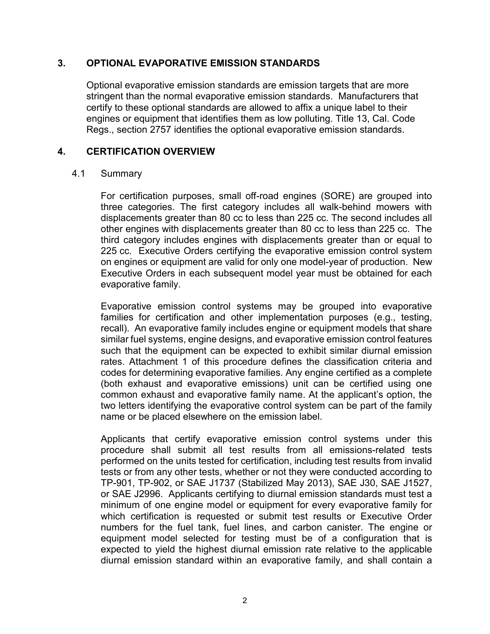### **3. OPTIONAL EVAPORATIVE EMISSION STANDARDS**

Optional evaporative emission standards are emission targets that are more stringent than the normal evaporative emission standards. Manufacturers that certify to these optional standards are allowed to affix a unique label to their engines or equipment that identifies them as low polluting. Title 13, Cal. Code Regs., section 2757 identifies the optional evaporative emission standards.

## **4. CERTIFICATION OVERVIEW**

#### 4.1 Summary

For certification purposes, small off-road engines (SORE) are grouped into three categories. The first category includes all walk-behind mowers with displacements greater than 80 cc to less than 225 cc. The second includes all other engines with displacements greater than 80 cc to less than 225 cc. The third category includes engines with displacements greater than or equal to 225 cc. Executive Orders certifying the evaporative emission control system on engines or equipment are valid for only one model-year of production. New Executive Orders in each subsequent model year must be obtained for each evaporative family.

Evaporative emission control systems may be grouped into evaporative families for certification and other implementation purposes (e.g., testing, recall). An evaporative family includes engine or equipment models that share similar fuel systems, engine designs, and evaporative emission control features such that the equipment can be expected to exhibit similar diurnal emission rates. Attachment 1 of this procedure defines the classification criteria and codes for determining evaporative families. Any engine certified as a complete (both exhaust and evaporative emissions) unit can be certified using one common exhaust and evaporative family name. At the applicant's option, the two letters identifying the evaporative control system can be part of the family name or be placed elsewhere on the emission label.

Applicants that certify evaporative emission control systems under this procedure shall submit all test results from all emissions-related tests performed on the units tested for certification, including test results from invalid tests or from any other tests, whether or not they were conducted according to TP-901, TP-902, or SAE J1737 (Stabilized May 2013), SAE J30, SAE J1527, or SAE J2996. Applicants certifying to diurnal emission standards must test a minimum of one engine model or equipment for every evaporative family for which certification is requested or submit test results or Executive Order numbers for the fuel tank, fuel lines, and carbon canister. The engine or equipment model selected for testing must be of a configuration that is expected to yield the highest diurnal emission rate relative to the applicable diurnal emission standard within an evaporative family, and shall contain a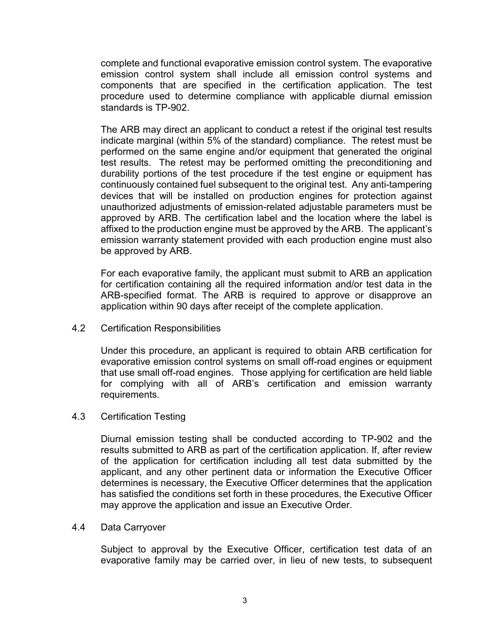complete and functional evaporative emission control system. The evaporative emission control system shall include all emission control systems and components that are specified in the certification application. The test procedure used to determine compliance with applicable diurnal emission standards is TP-902.

The ARB may direct an applicant to conduct a retest if the original test results indicate marginal (within 5% of the standard) compliance. The retest must be performed on the same engine and/or equipment that generated the original test results. The retest may be performed omitting the preconditioning and durability portions of the test procedure if the test engine or equipment has continuously contained fuel subsequent to the original test. Any anti-tampering devices that will be installed on production engines for protection against unauthorized adjustments of emission-related adjustable parameters must be approved by ARB. The certification label and the location where the label is affixed to the production engine must be approved by the ARB. The applicant's emission warranty statement provided with each production engine must also be approved by ARB.

For each evaporative family, the applicant must submit to ARB an application for certification containing all the required information and/or test data in the ARB-specified format. The ARB is required to approve or disapprove an application within 90 days after receipt of the complete application.

4.2 Certification Responsibilities

Under this procedure, an applicant is required to obtain ARB certification for evaporative emission control systems on small off-road engines or equipment that use small off-road engines. Those applying for certification are held liable for complying with all of ARB's certification and emission warranty requirements.

### 4.3 Certification Testing

Diurnal emission testing shall be conducted according to TP-902 and the results submitted to ARB as part of the certification application. If, after review of the application for certification including all test data submitted by the applicant, and any other pertinent data or information the Executive Officer determines is necessary, the Executive Officer determines that the application has satisfied the conditions set forth in these procedures, the Executive Officer may approve the application and issue an Executive Order.

#### 4.4 Data Carryover

Subject to approval by the Executive Officer, certification test data of an evaporative family may be carried over, in lieu of new tests, to subsequent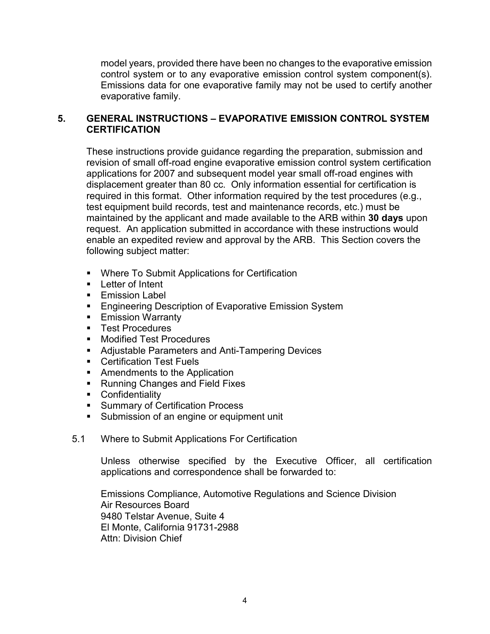model years, provided there have been no changes to the evaporative emission control system or to any evaporative emission control system component(s). Emissions data for one evaporative family may not be used to certify another evaporative family.

# **5. GENERAL INSTRUCTIONS – EVAPORATIVE EMISSION CONTROL SYSTEM CERTIFICATION**

These instructions provide guidance regarding the preparation, submission and revision of small off-road engine evaporative emission control system certification applications for 2007 and subsequent model year small off-road engines with displacement greater than 80 cc. Only information essential for certification is required in this format. Other information required by the test procedures (e.g., test equipment build records, test and maintenance records, etc.) must be maintained by the applicant and made available to the ARB within **30 days** upon request. An application submitted in accordance with these instructions would enable an expedited review and approval by the ARB. This Section covers the following subject matter:

- **Where To Submit Applications for Certification**
- **Letter of Intent**
- **Emission Label**
- **Engineering Description of Evaporative Emission System**
- **Emission Warranty**
- **Test Procedures**
- **Nodified Test Procedures**
- **Adjustable Parameters and Anti-Tampering Devices**
- **Certification Test Fuels**
- **Amendments to the Application**
- **Running Changes and Field Fixes**
- **Confidentiality**
- **Summary of Certification Process**
- **Submission of an engine or equipment unit**
- 5.1 Where to Submit Applications For Certification

Unless otherwise specified by the Executive Officer, all certification applications and correspondence shall be forwarded to:

Emissions Compliance, Automotive Regulations and Science Division Air Resources Board 9480 Telstar Avenue, Suite 4 El Monte, California 91731-2988 Attn: Division Chief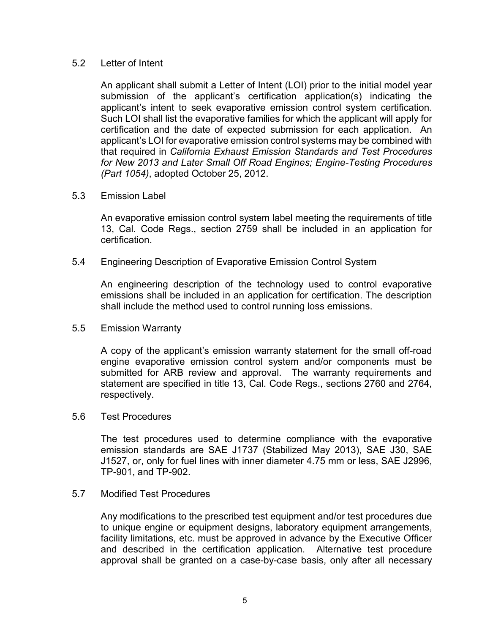#### 5.2 Letter of Intent

An applicant shall submit a Letter of Intent (LOI) prior to the initial model year submission of the applicant's certification application(s) indicating the applicant's intent to seek evaporative emission control system certification. Such LOI shall list the evaporative families for which the applicant will apply for certification and the date of expected submission for each application. An applicant's LOI for evaporative emission control systems may be combined with that required in *California Exhaust Emission Standards and Test Procedures for New 2013 and Later Small Off Road Engines; Engine-Testing Procedures (Part 1054)*, adopted October 25, 2012.

#### 5.3 Emission Label

An evaporative emission control system label meeting the requirements of title 13, Cal. Code Regs., section 2759 shall be included in an application for certification.

#### 5.4 Engineering Description of Evaporative Emission Control System

An engineering description of the technology used to control evaporative emissions shall be included in an application for certification. The description shall include the method used to control running loss emissions.

#### 5.5 Emission Warranty

A copy of the applicant's emission warranty statement for the small off-road engine evaporative emission control system and/or components must be submitted for ARB review and approval. The warranty requirements and statement are specified in title 13, Cal. Code Regs., sections 2760 and 2764, respectively.

#### 5.6 Test Procedures

The test procedures used to determine compliance with the evaporative emission standards are SAE J1737 (Stabilized May 2013), SAE J30, SAE J1527, or, only for fuel lines with inner diameter 4.75 mm or less, SAE J2996, TP-901, and TP-902.

#### 5.7 Modified Test Procedures

Any modifications to the prescribed test equipment and/or test procedures due to unique engine or equipment designs, laboratory equipment arrangements, facility limitations, etc. must be approved in advance by the Executive Officer and described in the certification application. Alternative test procedure approval shall be granted on a case-by-case basis, only after all necessary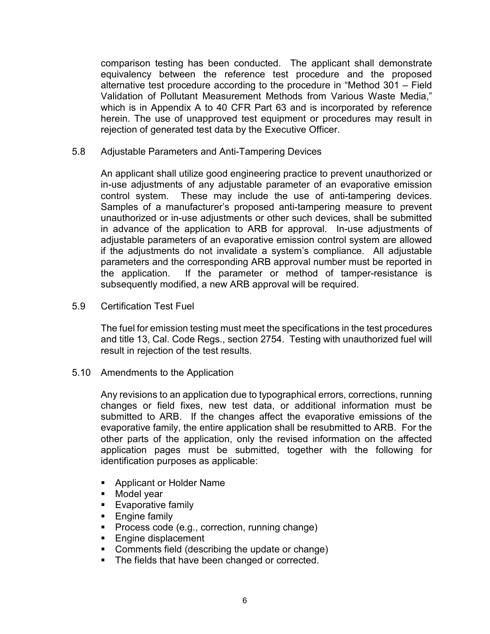comparison testing has been conducted. The applicant shall demonstrate equivalency between the reference test procedure and the proposed alternative test procedure according to the procedure in "Method 301 – Field Validation of Pollutant Measurement Methods from Various Waste Media," which is in Appendix A to 40 CFR Part 63 and is incorporated by reference herein. The use of unapproved test equipment or procedures may result in rejection of generated test data by the Executive Officer.

5.8 Adjustable Parameters and Anti-Tampering Devices

An applicant shall utilize good engineering practice to prevent unauthorized or in-use adjustments of any adjustable parameter of an evaporative emission control system. These may include the use of anti-tampering devices. Samples of a manufacturer's proposed anti-tampering measure to prevent unauthorized or in-use adjustments or other such devices, shall be submitted in advance of the application to ARB for approval. In-use adjustments of adjustable parameters of an evaporative emission control system are allowed if the adjustments do not invalidate a system's compliance. All adjustable parameters and the corresponding ARB approval number must be reported in the application. If the parameter or method of tamper-resistance is subsequently modified, a new ARB approval will be required.

5.9 Certification Test Fuel

The fuel for emission testing must meet the specifications in the test procedures and title 13, Cal. Code Regs., section 2754. Testing with unauthorized fuel will result in rejection of the test results.

5.10 Amendments to the Application

Any revisions to an application due to typographical errors, corrections, running changes or field fixes, new test data, or additional information must be submitted to ARB. If the changes affect the evaporative emissions of the evaporative family, the entire application shall be resubmitted to ARB. For the other parts of the application, only the revised information on the affected application pages must be submitted, together with the following for identification purposes as applicable:

- **Applicant or Holder Name**
- **Model year**
- **Evaporative family**
- **Engine family**
- **Process code (e.g., correction, running change)**
- **Engine displacement**
- **Comments field (describing the update or change)**
- The fields that have been changed or corrected.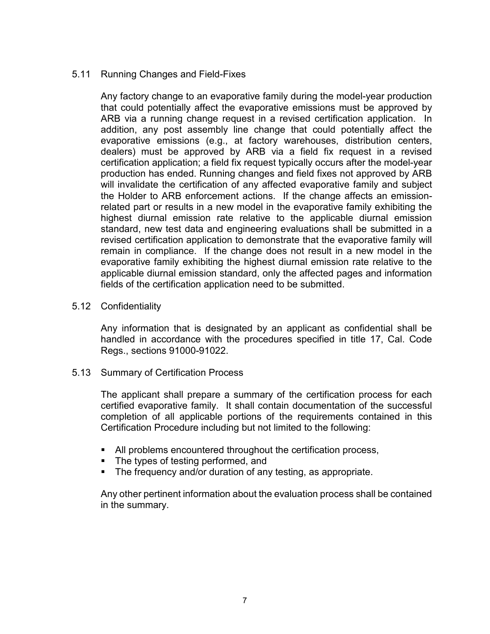## 5.11 Running Changes and Field-Fixes

Any factory change to an evaporative family during the model-year production that could potentially affect the evaporative emissions must be approved by ARB via a running change request in a revised certification application. In addition, any post assembly line change that could potentially affect the evaporative emissions (e.g., at factory warehouses, distribution centers, dealers) must be approved by ARB via a field fix request in a revised certification application; a field fix request typically occurs after the model-year production has ended. Running changes and field fixes not approved by ARB will invalidate the certification of any affected evaporative family and subject the Holder to ARB enforcement actions. If the change affects an emissionrelated part or results in a new model in the evaporative family exhibiting the highest diurnal emission rate relative to the applicable diurnal emission standard, new test data and engineering evaluations shall be submitted in a revised certification application to demonstrate that the evaporative family will remain in compliance. If the change does not result in a new model in the evaporative family exhibiting the highest diurnal emission rate relative to the applicable diurnal emission standard, only the affected pages and information fields of the certification application need to be submitted.

### 5.12 Confidentiality

Any information that is designated by an applicant as confidential shall be handled in accordance with the procedures specified in title 17, Cal. Code Regs., sections 91000-91022.

#### 5.13 Summary of Certification Process

The applicant shall prepare a summary of the certification process for each certified evaporative family. It shall contain documentation of the successful completion of all applicable portions of the requirements contained in this Certification Procedure including but not limited to the following:

- All problems encountered throughout the certification process,
- The types of testing performed, and
- **The frequency and/or duration of any testing, as appropriate.**

Any other pertinent information about the evaluation process shall be contained in the summary.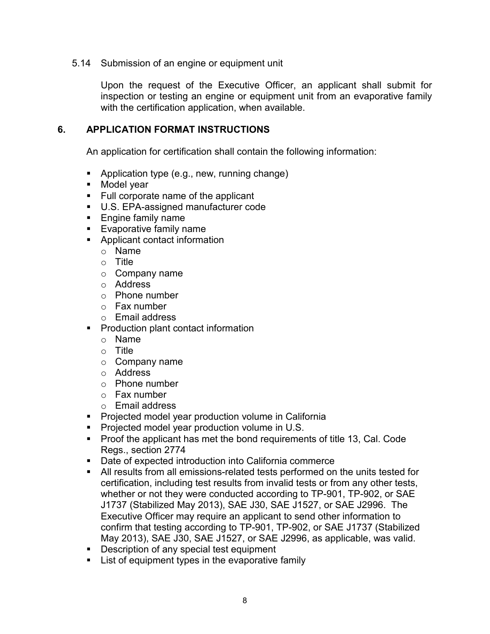#### 5.14 Submission of an engine or equipment unit

Upon the request of the Executive Officer, an applicant shall submit for inspection or testing an engine or equipment unit from an evaporative family with the certification application, when available.

## **6. APPLICATION FORMAT INSTRUCTIONS**

An application for certification shall contain the following information:

- **Application type (e.g., new, running change)**
- **Model year**
- Full corporate name of the applicant
- U.S. EPA-assigned manufacturer code
- **Engine family name**
- **Evaporative family name**
- **Applicant contact information** 
	- o Name
	- $\circ$  Title
	- o Company name
	- o Address
	- o Phone number
	- o Fax number
	- o Email address
- **Production plant contact information** 
	- o Name
	- o Title
	- o Company name
	- o Address
	- o Phone number
	- o Fax number
	- o Email address
- Projected model year production volume in California
- **Projected model year production volume in U.S.**
- **Proof the applicant has met the bond requirements of title 13, Cal. Code** Regs., section 2774
- Date of expected introduction into California commerce
- All results from all emissions-related tests performed on the units tested for certification, including test results from invalid tests or from any other tests, whether or not they were conducted according to TP-901, TP-902, or SAE J1737 (Stabilized May 2013), SAE J30, SAE J1527, or SAE J2996. The Executive Officer may require an applicant to send other information to confirm that testing according to TP-901, TP-902, or SAE J1737 (Stabilized May 2013), SAE J30, SAE J1527, or SAE J2996, as applicable, was valid.
- Description of any special test equipment
- **EXECT** List of equipment types in the evaporative family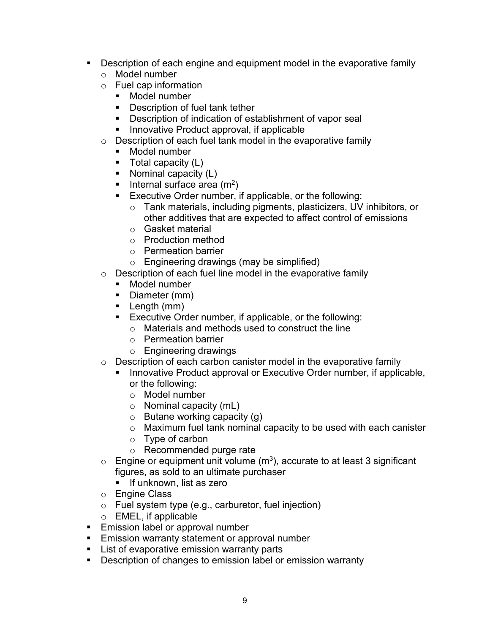- Description of each engine and equipment model in the evaporative family
	- o Model number
	- o Fuel cap information
		- Model number
		- Description of fuel tank tether
		- **Description of indication of establishment of vapor seal**
		- **Innovative Product approval, if applicable**
	- $\circ$  Description of each fuel tank model in the evaporative family
		- Model number
		- $\blacksquare$  Total capacity (L)
		- Nominal capacity (L)
		- Internal surface area  $(m^2)$
		- Executive Order number, if applicable, or the following:
			- o Tank materials, including pigments, plasticizers, UV inhibitors, or other additives that are expected to affect control of emissions
			- o Gasket material
			- o Production method
			- o Permeation barrier
			- o Engineering drawings (may be simplified)
	- $\circ$  Description of each fuel line model in the evaporative family<br>Model number
		- Model number
		- Diameter (mm)
		- Length (mm)
		- **Executive Order number, if applicable, or the following:** 
			- o Materials and methods used to construct the line
			- o Permeation barrier
			- o Engineering drawings
	- $\circ$  Description of each carbon canister model in the evaporative family
		- Innovative Product approval or Executive Order number, if applicable, or the following:
			- o Model number
			- $\circ$  Nominal capacity (mL)
			- $\circ$  Butane working capacity (g)
			- o Maximum fuel tank nominal capacity to be used with each canister
			- o Type of carbon
			- o Recommended purge rate
	- $\circ$  Engine or equipment unit volume (m<sup>3</sup>), accurate to at least 3 significant figures, as sold to an ultimate purchaser
		- **If unknown, list as zero**
	- o Engine Class
	- $\circ$  Fuel system type (e.g., carburetor, fuel injection)
	- o EMEL, if applicable
- **Emission label or approval number**
- **Emission warranty statement or approval number**
- **List of evaporative emission warranty parts**
- **Description of changes to emission label or emission warranty**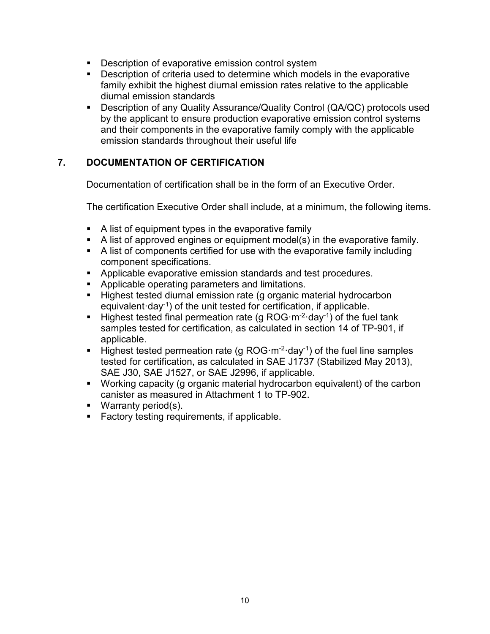- **Description of evaporative emission control system**
- **Description of criteria used to determine which models in the evaporative** family exhibit the highest diurnal emission rates relative to the applicable diurnal emission standards
- Description of any Quality Assurance/Quality Control (QA/QC) protocols used by the applicant to ensure production evaporative emission control systems and their components in the evaporative family comply with the applicable emission standards throughout their useful life

# **7. DOCUMENTATION OF CERTIFICATION**

Documentation of certification shall be in the form of an Executive Order.

The certification Executive Order shall include, at a minimum, the following items.

- A list of equipment types in the evaporative family
- A list of approved engines or equipment model(s) in the evaporative family.
- A list of components certified for use with the evaporative family including component specifications.
- **Applicable evaporative emission standards and test procedures.**
- **Applicable operating parameters and limitations.**
- **Highest tested diurnal emission rate (g organic material hydrocarbon** equivalent·day-1) of the unit tested for certification, if applicable.
- **Highest tested final permeation rate (g ROG·m<sup>-2</sup>·day<sup>-1</sup>) of the fuel tank** samples tested for certification, as calculated in section 14 of TP-901, if applicable.
- Highest tested permeation rate (g ROG·m<sup>-2</sup>·day<sup>-1</sup>) of the fuel line samples tested for certification, as calculated in SAE J1737 (Stabilized May 2013), SAE J30, SAE J1527, or SAE J2996, if applicable.
- Working capacity (g organic material hydrocarbon equivalent) of the carbon canister as measured in Attachment 1 to TP-902.
- **Warranty period(s).**
- **Factory testing requirements, if applicable.**